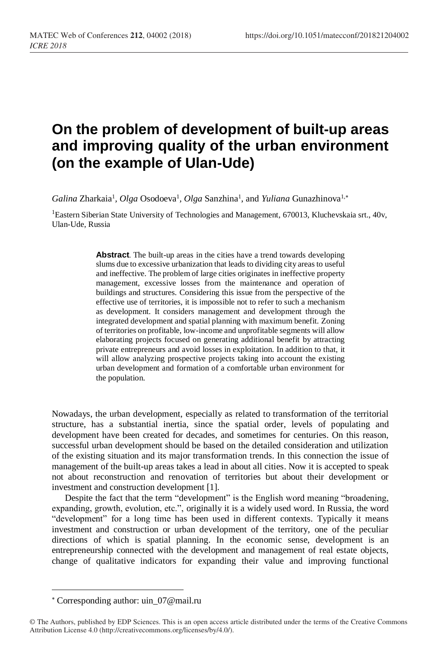## **On the problem of development of built-up areas and improving quality of the urban environment (on the example of Ulan-Ude)**

Galina Zharkaia<sup>1</sup>, Olga Osodoeva<sup>1</sup>, Olga Sanzhina<sup>1</sup>, and *Yuliana* Gunazhinova<sup>1,\*</sup>

<sup>1</sup>Eastern Siberian State University of Technologies and Management, 670013, Kluchevskaia srt., 40v, Ulan-Ude, Russia

> **Abstract***.* The built-up areas in the cities have a trend towards developing slums due to excessive urbanization that leads to dividing city areas to useful and ineffective. The problem of large cities originates in ineffective property management, excessive losses from the maintenance and operation of buildings and structures. Considering this issue from the perspective of the effective use of territories, it is impossible not to refer to such a mechanism as development. It considers management and development through the integrated development and spatial planning with maximum benefit. Zoning of territories on profitable, low-income and unprofitable segments will allow elaborating projects focused on generating additional benefit by attracting private entrepreneurs and avoid losses in exploitation. In addition to that, it will allow analyzing prospective projects taking into account the existing urban development and formation of a comfortable urban environment for the population.

Nowadays, the urban development, especially as related to transformation of the territorial structure, has a substantial inertia, since the spatial order, levels of populating and development have been created for decades, and sometimes for centuries. On this reason, successful urban development should be based on the detailed consideration and utilization of the existing situation and its major transformation trends. In this connection the issue of management of the built-up areas takes a lead in about all cities. Now it is accepted to speak not about reconstruction and renovation of territories but about their development or investment and construction development [1].

Despite the fact that the term "development" is the English word meaning "broadening, expanding, growth, evolution, etc.", originally it is a widely used word. In Russia, the word "development" for a long time has been used in different contexts. Typically it means investment and construction or urban development of the territory, one of the peculiar directions of which is spatial planning. In the economic sense, development is an entrepreneurship connected with the development and management of real estate objects, change of qualitative indicators for expanding their value and improving functional

l

Corresponding author: uin\_07@mail.ru

<sup>©</sup> The Authors, published by EDP Sciences. This is an open access article distributed under the terms of the Creative Commons Attribution License 4.0 (http://creativecommons.org/licenses/by/4.0/).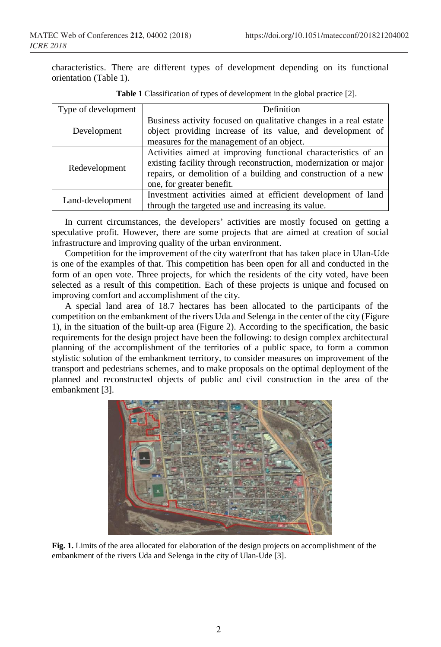characteristics. There are different types of development depending on its functional orientation (Table 1).

| Type of development | Definition                                                                                                                                                                                                                        |
|---------------------|-----------------------------------------------------------------------------------------------------------------------------------------------------------------------------------------------------------------------------------|
| Development         | Business activity focused on qualitative changes in a real estate<br>object providing increase of its value, and development of<br>measures for the management of an object.                                                      |
| Redevelopment       | Activities aimed at improving functional characteristics of an<br>existing facility through reconstruction, modernization or major<br>repairs, or demolition of a building and construction of a new<br>one, for greater benefit. |
| Land-development    | Investment activities aimed at efficient development of land<br>through the targeted use and increasing its value.                                                                                                                |

**Table 1** Classification of types of development in the global practice [2].

In current circumstances, the developers' activities are mostly focused on getting a speculative profit. However, there are some projects that are aimed at creation of social infrastructure and improving quality of the urban environment.

Competition for the improvement of the city waterfront that has taken place in Ulan-Ude is one of the examples of that. This competition has been open for all and conducted in the form of an open vote. Three projects, for which the residents of the city voted, have been selected as a result of this competition. Each of these projects is unique and focused on improving comfort and accomplishment of the city.

A special land area of 18.7 hectares has been allocated to the participants of the competition on the embankment of the rivers Uda and Selenga in the center of the city (Figure 1), in the situation of the built-up area (Figure 2). According to the specification, the basic requirements for the design project have been the following: to design complex architectural planning of the accomplishment of the territories of a public space, to form a common stylistic solution of the embankment territory, to consider measures on improvement of the transport and pedestrians schemes, and to make proposals on the optimal deployment of the planned and reconstructed objects of public and civil construction in the area of the embankment [3].



**Fig. 1.** Limits of the area allocated for elaboration of the design projects on accomplishment of the embankment of the rivers Uda and Selenga in the city of Ulan-Ude [3].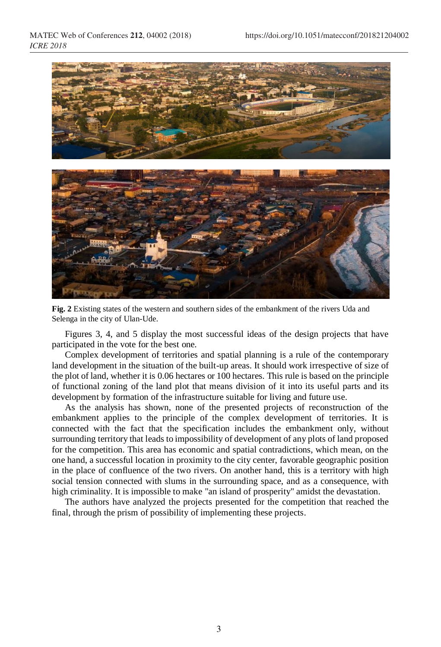

**Fig. 2** Existing states of the western and southern sides of the embankment of the rivers Uda and Selenga in the city of Ulan-Ude.

Figures 3, 4, and 5 display the most successful ideas of the design projects that have participated in the vote for the best one.

Complex development of territories and spatial planning is a rule of the contemporary land development in the situation of the built-up areas. It should work irrespective of size of the plot of land, whether it is 0.06 hectares or 100 hectares. This rule is based on the principle of functional zoning of the land plot that means division of it into its useful parts and its development by formation of the infrastructure suitable for living and future use.

As the analysis has shown, none of the presented projects of reconstruction of the embankment applies to the principle of the complex development of territories. It is connected with the fact that the specification includes the embankment only, without surrounding territory that leads to impossibility of development of any plots of land proposed for the competition. This area has economic and spatial contradictions, which mean, on the one hand, a successful location in proximity to the city center, favorable geographic position in the place of confluence of the two rivers. On another hand, this is a territory with high social tension connected with slums in the surrounding space, and as a consequence, with high criminality. It is impossible to make "an island of prosperity" amidst the devastation.

The authors have analyzed the projects presented for the competition that reached the final, through the prism of possibility of implementing these projects.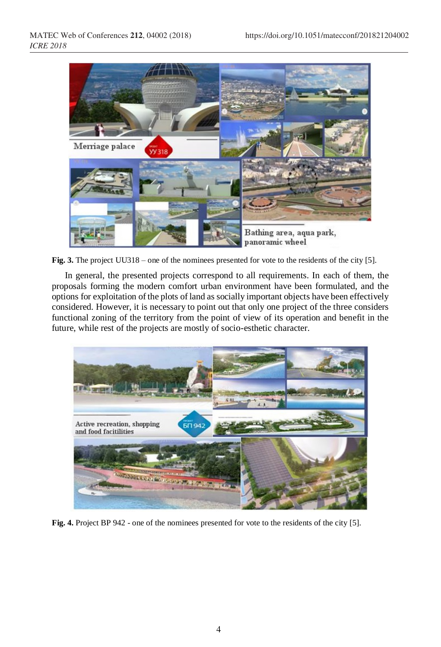

**Fig. 3.** The project UU318 – one of the nominees presented for vote to the residents of the city [5].

In general, the presented projects correspond to all requirements. In each of them, the proposals forming the modern comfort urban environment have been formulated, and the options for exploitation of the plots of land as socially important objects have been effectively considered. However, it is necessary to point out that only one project of the three considers functional zoning of the territory from the point of view of its operation and benefit in the future, while rest of the projects are mostly of socio-esthetic character.



**Fig. 4.** Project BP 942 - one of the nominees presented for vote to the residents of the city [5].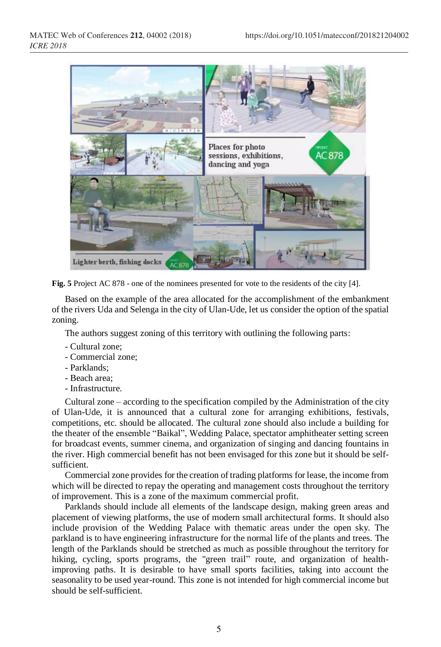



Based on the example of the area allocated for the accomplishment of the embankment of the rivers Uda and Selenga in the city of Ulan-Ude, let us consider the option of the spatial zoning.

The authors suggest zoning of this territory with outlining the following parts:

- Cultural zone;
- Commercial zone;
- Parklands;
- Beach area;
- Infrastructure.

Cultural zone – according to the specification compiled by the Administration of the city of Ulan-Ude, it is announced that a cultural zone for arranging exhibitions, festivals, competitions, etc. should be allocated. The cultural zone should also include a building for the theater of the ensemble "Baikal", Wedding Palace, spectator amphitheater setting screen for broadcast events, summer cinema, and organization of singing and dancing fountains in the river. High commercial benefit has not been envisaged for this zone but it should be selfsufficient.

Commercial zone provides for the creation of trading platforms for lease, the income from which will be directed to repay the operating and management costs throughout the territory of improvement. This is a zone of the maximum commercial profit.

Parklands should include all elements of the landscape design, making green areas and placement of viewing platforms, the use of modern small architectural forms. It should also include provision of the Wedding Palace with thematic areas under the open sky. The parkland is to have engineering infrastructure for the normal life of the plants and trees. The length of the Parklands should be stretched as much as possible throughout the territory for hiking, cycling, sports programs, the "green trail" route, and organization of healthimproving paths. It is desirable to have small sports facilities, taking into account the seasonality to be used year-round. This zone is not intended for high commercial income but should be self-sufficient.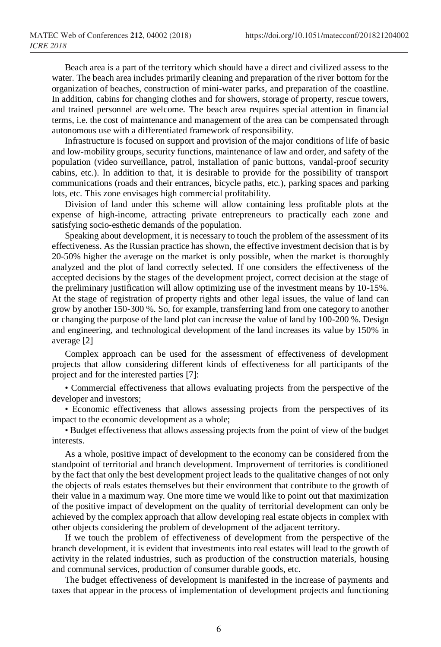Beach area is a part of the territory which should have a direct and civilized assess to the water. The beach area includes primarily cleaning and preparation of the river bottom for the organization of beaches, construction of mini-water parks, and preparation of the coastline. In addition, cabins for changing clothes and for showers, storage of property, rescue towers, and trained personnel are welcome. The beach area requires special attention in financial terms, i.e. the cost of maintenance and management of the area can be compensated through autonomous use with a differentiated framework of responsibility.

Infrastructure is focused on support and provision of the major conditions of life of basic and low-mobility groups, security functions, maintenance of law and order, and safety of the population (video surveillance, patrol, installation of panic buttons, vandal-proof security cabins, etc.). In addition to that, it is desirable to provide for the possibility of transport communications (roads and their entrances, bicycle paths, etc.), parking spaces and parking lots, etc. This zone envisages high commercial profitability.

Division of land under this scheme will allow containing less profitable plots at the expense of high-income, attracting private entrepreneurs to practically each zone and satisfying socio-esthetic demands of the population.

Speaking about development, it is necessary to touch the problem of the assessment of its effectiveness. As the Russian practice has shown, the effective investment decision that is by 20-50% higher the average on the market is only possible, when the market is thoroughly analyzed and the plot of land correctly selected. If one considers the effectiveness of the accepted decisions by the stages of the development project, correct decision at the stage of the preliminary justification will allow optimizing use of the investment means by 10-15%. At the stage of registration of property rights and other legal issues, the value of land can grow by another 150-300 %. So, for example, transferring land from one category to another or changing the purpose of the land plot can increase the value of land by 100-200 %. Design and engineering, and technological development of the land increases its value by 150% in average [2]

Complex approach can be used for the assessment of effectiveness of development projects that allow considering different kinds of effectiveness for all participants of the project and for the interested parties [7]:

• Commercial effectiveness that allows evaluating projects from the perspective of the developer and investors;

• Economic effectiveness that allows assessing projects from the perspectives of its impact to the economic development as a whole;

• Budget effectiveness that allows assessing projects from the point of view of the budget interests.

As a whole, positive impact of development to the economy can be considered from the standpoint of territorial and branch development. Improvement of territories is conditioned by the fact that only the best development project leads to the qualitative changes of not only the objects of reals estates themselves but their environment that contribute to the growth of their value in a maximum way. One more time we would like to point out that maximization of the positive impact of development on the quality of territorial development can only be achieved by the complex approach that allow developing real estate objects in complex with other objects considering the problem of development of the adjacent territory.

If we touch the problem of effectiveness of development from the perspective of the branch development, it is evident that investments into real estates will lead to the growth of activity in the related industries, such as production of the construction materials, housing and communal services, production of consumer durable goods, etc.

The budget effectiveness of development is manifested in the increase of payments and taxes that appear in the process of implementation of development projects and functioning